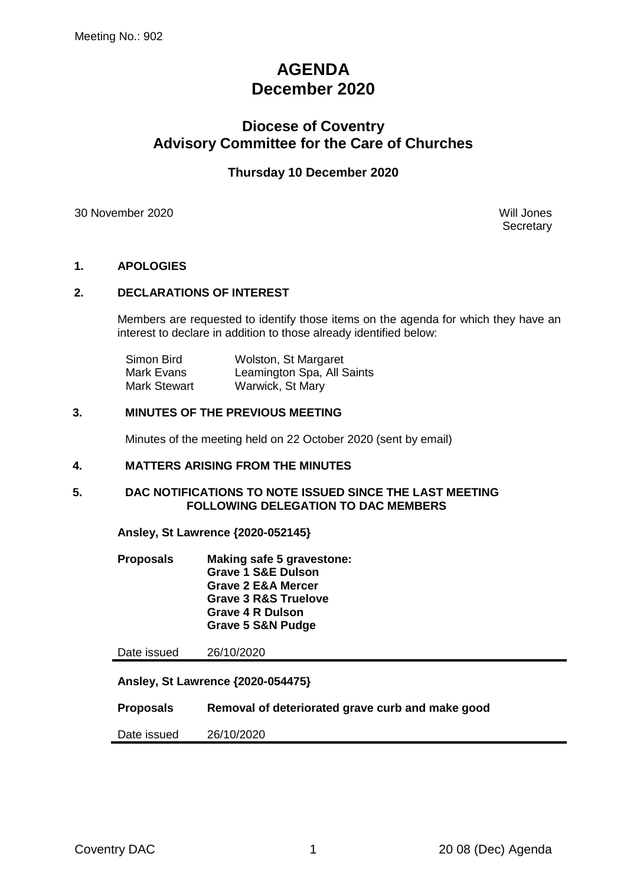# **AGENDA December 2020**

# **Diocese of Coventry Advisory Committee for the Care of Churches**

### **Thursday 10 December 2020**

30 November 2020 Will Jones

**Secretary** 

### **1. APOLOGIES**

### **2. DECLARATIONS OF INTEREST**

Members are requested to identify those items on the agenda for which they have an interest to declare in addition to those already identified below:

| Simon Bird          | Wolston, St Margaret       |
|---------------------|----------------------------|
| Mark Evans          | Leamington Spa, All Saints |
| <b>Mark Stewart</b> | Warwick, St Mary           |

### **3. MINUTES OF THE PREVIOUS MEETING**

Minutes of the meeting held on 22 October 2020 (sent by email)

### **4. MATTERS ARISING FROM THE MINUTES**

### **5. DAC NOTIFICATIONS TO NOTE ISSUED SINCE THE LAST MEETING FOLLOWING DELEGATION TO DAC MEMBERS**

**Ansley, St Lawrence {2020-052145}**

**Proposals Making safe 5 gravestone: Grave 1 S&E Dulson Grave 2 E&A Mercer Grave 3 R&S Truelove Grave 4 R Dulson Grave 5 S&N Pudge**

Date issued 26/10/2020

**Ansley, St Lawrence {2020-054475}**

**Proposals Removal of deteriorated grave curb and make good**

Date issued 26/10/2020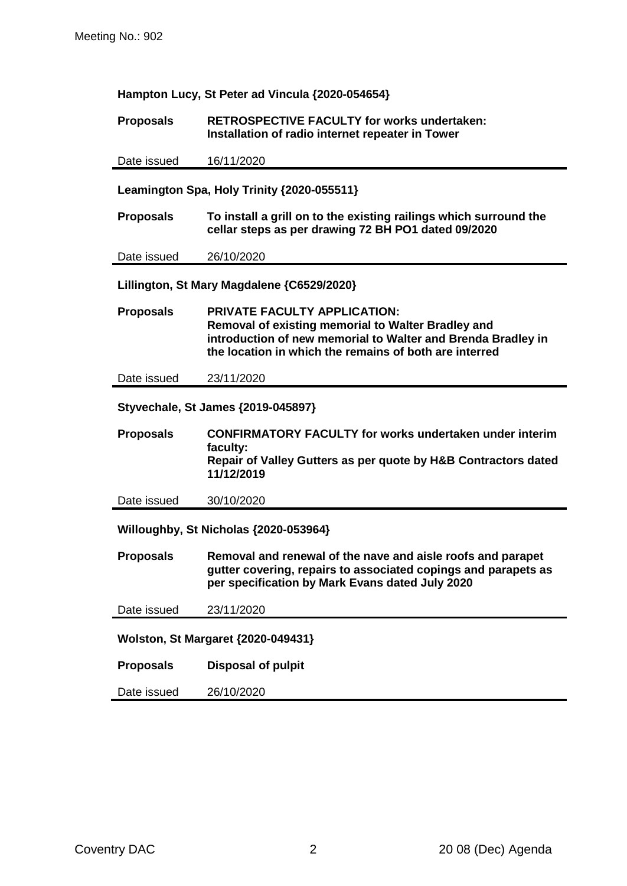**Hampton Lucy, St Peter ad Vincula {2020-054654}**

**Proposals RETROSPECTIVE FACULTY for works undertaken: Installation of radio internet repeater in Tower**

Date issued 16/11/2020

**Leamington Spa, Holy Trinity {2020-055511}**

**Proposals To install a grill on to the existing railings which surround the cellar steps as per drawing 72 BH PO1 dated 09/2020**

Date issued 26/10/2020

**Lillington, St Mary Magdalene {C6529/2020}**

**Proposals PRIVATE FACULTY APPLICATION: Removal of existing memorial to Walter Bradley and introduction of new memorial to Walter and Brenda Bradley in the location in which the remains of both are interred**

Date issued 23/11/2020

**Styvechale, St James {2019-045897}**

**Proposals CONFIRMATORY FACULTY for works undertaken under interim faculty: Repair of Valley Gutters as per quote by H&B Contractors dated 11/12/2019**

Date issued 30/10/2020

**Willoughby, St Nicholas {2020-053964}**

**Proposals Removal and renewal of the nave and aisle roofs and parapet gutter covering, repairs to associated copings and parapets as per specification by Mark Evans dated July 2020**

Date issued 23/11/2020

**Wolston, St Margaret {2020-049431}**

**Proposals Disposal of pulpit**

Date issued 26/10/2020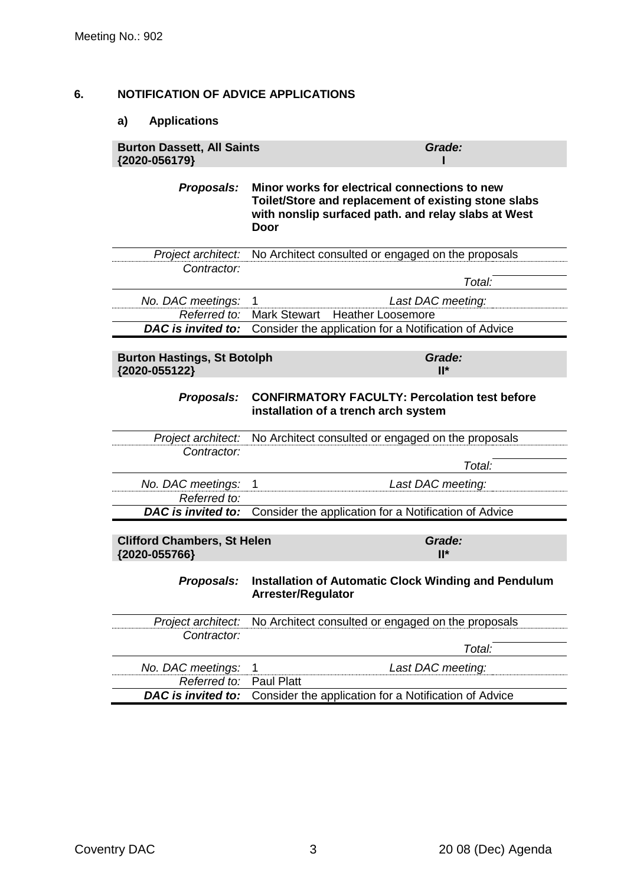### **6. NOTIFICATION OF ADVICE APPLICATIONS**

## **a) Applications**

| <b>Burton Dassett, All Saints</b><br>{2020-056179}  | Grade:                                                                                                                                                               |
|-----------------------------------------------------|----------------------------------------------------------------------------------------------------------------------------------------------------------------------|
| Proposals:                                          | Minor works for electrical connections to new<br>Toilet/Store and replacement of existing stone slabs<br>with nonslip surfaced path. and relay slabs at West<br>Door |
| Project architect:                                  | No Architect consulted or engaged on the proposals                                                                                                                   |
| Contractor:                                         | Total:                                                                                                                                                               |
| No. DAC meetings:                                   | Last DAC meeting:<br>1                                                                                                                                               |
| Referred to:                                        | <b>Mark Stewart</b><br><b>Heather Loosemore</b>                                                                                                                      |
| DAC is invited to:                                  | Consider the application for a Notification of Advice                                                                                                                |
| <b>Burton Hastings, St Botolph</b><br>{2020-055122} | Grade:<br>$II^*$                                                                                                                                                     |
| <b>Proposals:</b>                                   | <b>CONFIRMATORY FACULTY: Percolation test before</b><br>installation of a trench arch system                                                                         |
| Project architect:                                  | No Architect consulted or engaged on the proposals                                                                                                                   |
| Contractor:                                         |                                                                                                                                                                      |
|                                                     | Total:                                                                                                                                                               |
| No. DAC meetings:                                   | Last DAC meeting:<br>1                                                                                                                                               |
| Referred to:                                        |                                                                                                                                                                      |
|                                                     | DAC is invited to: Consider the application for a Notification of Advice                                                                                             |
| <b>Clifford Chambers, St Helen</b><br>{2020-055766} | Grade:<br>$II^*$                                                                                                                                                     |
| Proposals:                                          | Installation of Automatic Clock Winding and Pendulum<br><b>Arrester/Regulator</b>                                                                                    |
| Project architect:                                  | No Architect consulted or engaged on the proposals                                                                                                                   |
| Contractor:                                         | Total:                                                                                                                                                               |
|                                                     |                                                                                                                                                                      |
| No. DAC meetings:<br>Referred to:                   | Last DAC meeting:<br>1<br><b>Paul Platt</b>                                                                                                                          |
| DAC is invited to:                                  | Consider the application for a Notification of Advice                                                                                                                |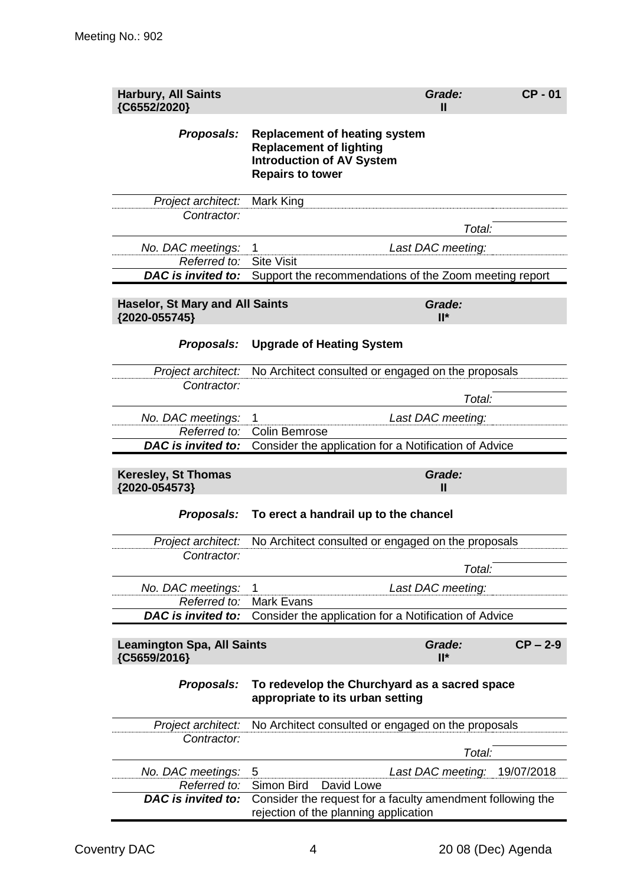| <b>Harbury, All Saints</b><br>{C6552/2020}              |                                                                                                                                       | Grade:<br>Ш       | <b>CP-01</b> |
|---------------------------------------------------------|---------------------------------------------------------------------------------------------------------------------------------------|-------------------|--------------|
| Proposals:                                              | <b>Replacement of heating system</b><br><b>Replacement of lighting</b><br><b>Introduction of AV System</b><br><b>Repairs to tower</b> |                   |              |
| Project architect:<br>Contractor:                       | Mark King                                                                                                                             |                   |              |
|                                                         |                                                                                                                                       | Total:            |              |
| No. DAC meetings:                                       | 1                                                                                                                                     | Last DAC meeting: |              |
| Referred to:                                            | <b>Site Visit</b>                                                                                                                     |                   |              |
| DAC is invited to:                                      | Support the recommendations of the Zoom meeting report                                                                                |                   |              |
| <b>Haselor, St Mary and All Saints</b><br>{2020-055745} |                                                                                                                                       | Grade:<br>$II^*$  |              |
| Proposals:                                              | <b>Upgrade of Heating System</b>                                                                                                      |                   |              |
| Project architect:                                      | No Architect consulted or engaged on the proposals                                                                                    |                   |              |
| Contractor:                                             |                                                                                                                                       |                   |              |
|                                                         |                                                                                                                                       | Total:            |              |
| No. DAC meetings:                                       | 1                                                                                                                                     | Last DAC meeting: |              |
| Referred to:                                            | <b>Colin Bemrose</b>                                                                                                                  |                   |              |
| <b>DAC</b> is invited to:                               | Consider the application for a Notification of Advice                                                                                 |                   |              |
|                                                         |                                                                                                                                       |                   |              |
| <b>Keresley, St Thomas</b><br>{2020-054573}             |                                                                                                                                       | Grade:<br>Ш       |              |
| Proposals:                                              | To erect a handrail up to the chancel                                                                                                 |                   |              |
| Project architect:                                      | No Architect consulted or engaged on the proposals                                                                                    |                   |              |
| Contractor:                                             |                                                                                                                                       |                   |              |
|                                                         |                                                                                                                                       | Total:            |              |
| No. DAC meetings:                                       | 1                                                                                                                                     | Last DAC meeting: |              |
| Referred to:                                            | Mark Evans                                                                                                                            |                   |              |
| <b>DAC</b> is invited to:                               | Consider the application for a Notification of Advice                                                                                 |                   |              |
|                                                         |                                                                                                                                       |                   |              |
| <b>Leamington Spa, All Saints</b>                       |                                                                                                                                       | Grade:<br>$II^*$  | $CP - 2-9$   |
| {C5659/2016}<br>Proposals:                              | To redevelop the Churchyard as a sacred space<br>appropriate to its urban setting                                                     |                   |              |
| Project architect:                                      | No Architect consulted or engaged on the proposals                                                                                    |                   |              |
| Contractor:                                             |                                                                                                                                       |                   |              |
|                                                         |                                                                                                                                       | Total:            |              |
| No. DAC meetings:                                       | 5                                                                                                                                     | Last DAC meeting: | 19/07/2018   |
| Referred to:<br><b>DAC</b> is invited to:               | Simon Bird<br>David Lowe<br>Consider the request for a faculty amendment following the                                                |                   |              |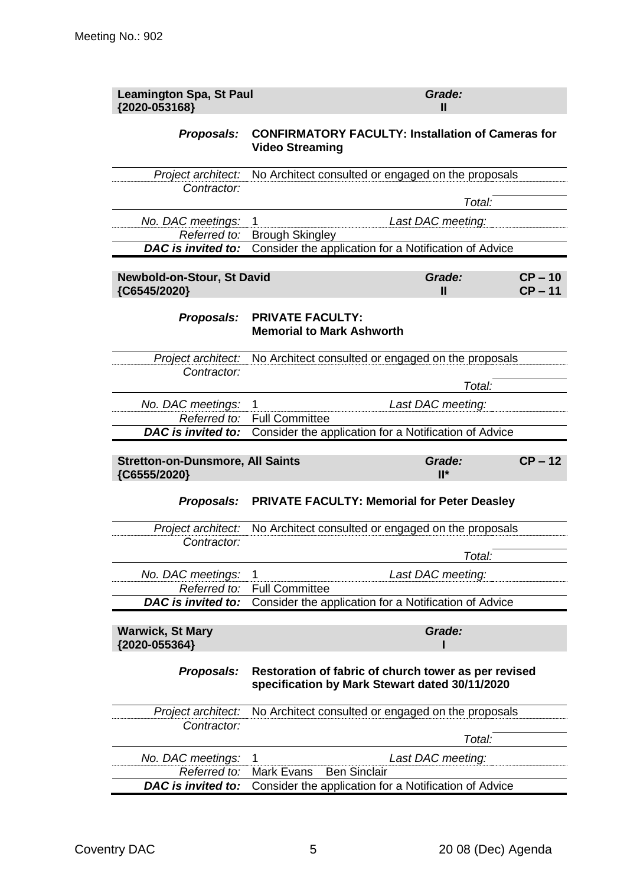| <b>Leamington Spa, St Paul</b><br>{2020-053168}         | Grade:<br>Ш                                                                                            |
|---------------------------------------------------------|--------------------------------------------------------------------------------------------------------|
| Proposals:                                              | <b>CONFIRMATORY FACULTY: Installation of Cameras for</b><br><b>Video Streaming</b>                     |
| Project architect:                                      | No Architect consulted or engaged on the proposals                                                     |
| Contractor:                                             | Total:                                                                                                 |
| No. DAC meetings:                                       | Last DAC meeting:<br>1                                                                                 |
| Referred to:                                            | <b>Brough Skingley</b>                                                                                 |
| <b>DAC</b> is invited to:                               | Consider the application for a Notification of Advice                                                  |
| Newbold-on-Stour, St David<br>{C6545/2020}              | $CP - 10$<br>Grade:<br>$CP - 11$<br>$\mathbf{I}$                                                       |
| Proposals:                                              | <b>PRIVATE FACULTY:</b><br><b>Memorial to Mark Ashworth</b>                                            |
| Project architect:<br>Contractor:                       | No Architect consulted or engaged on the proposals<br>Total:                                           |
| No. DAC meetings:                                       | Last DAC meeting:<br>1                                                                                 |
| Referred to:                                            | <b>Full Committee</b>                                                                                  |
| <b>DAC</b> is invited to:                               | Consider the application for a Notification of Advice                                                  |
| <b>Stretton-on-Dunsmore, All Saints</b><br>{C6555/2020} | $CP - 12$<br>Grade:<br>$II^*$                                                                          |
| Proposals:                                              | <b>PRIVATE FACULTY: Memorial for Peter Deasley</b>                                                     |
| Project architect:                                      | No Architect consulted or engaged on the proposals                                                     |
| Contractor:                                             | Total:                                                                                                 |
| No. DAC meetings:                                       | 1<br>Last DAC meeting:                                                                                 |
| Referred to:                                            | <b>Full Committee</b>                                                                                  |
| DAC is invited to:                                      | Consider the application for a Notification of Advice                                                  |
| <b>Warwick, St Mary</b><br>{2020-055364}                | Grade:                                                                                                 |
| Proposals:                                              | Restoration of fabric of church tower as per revised<br>specification by Mark Stewart dated 30/11/2020 |
| Project architect:<br>Contractor:                       | No Architect consulted or engaged on the proposals                                                     |
|                                                         | Total:                                                                                                 |
| No. DAC meetings:                                       | 1<br>Last DAC meeting:                                                                                 |
| Referred to:                                            | Mark Evans<br><b>Ben Sinclair</b>                                                                      |
| DAC is invited to:                                      | Consider the application for a Notification of Advice                                                  |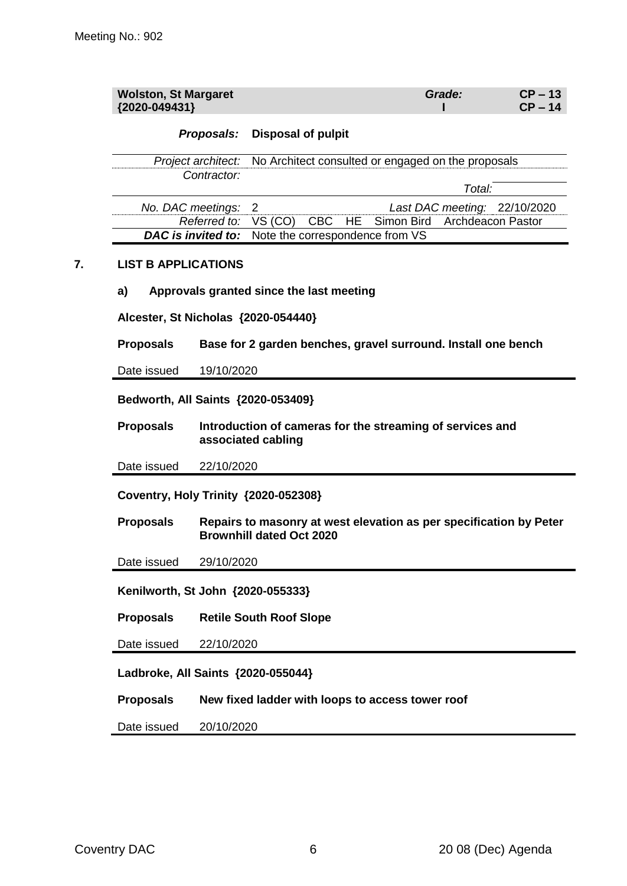| <b>Wolston, St Margaret</b> | Grade: | $CP - 13$ |
|-----------------------------|--------|-----------|
| ${2020 - 049431}$           |        | $CP - 14$ |

### *Proposals:* **Disposal of pulpit**

*Project architect:* No Architect consulted or engaged on the proposals *Contractor: Total:*

| No. DAC meetings: 2                                       |  |                                                          | Last DAC meeting: 22/10/2020 |
|-----------------------------------------------------------|--|----------------------------------------------------------|------------------------------|
|                                                           |  | Referred to: VS (CO) CBC HE Simon Bird Archdeacon Pastor |                              |
| <b>DAC is invited to:</b> Note the correspondence from VS |  |                                                          |                              |

### **7. LIST B APPLICATIONS**

#### **a) Approvals granted since the last meeting**

**Alcester, St Nicholas {2020-054440}**

**Proposals Base for 2 garden benches, gravel surround. Install one bench**

Date issued 19/10/2020

**Bedworth, All Saints {2020-053409}**

**Proposals Introduction of cameras for the streaming of services and associated cabling**

Date issued 22/10/2020

**Coventry, Holy Trinity {2020-052308}**

**Proposals Repairs to masonry at west elevation as per specification by Peter Brownhill dated Oct 2020**

Date issued 29/10/2020

**Kenilworth, St John {2020-055333}**

**Proposals Retile South Roof Slope**

Date issued 22/10/2020

**Ladbroke, All Saints {2020-055044}**

**Proposals New fixed ladder with loops to access tower roof**

Date issued 20/10/2020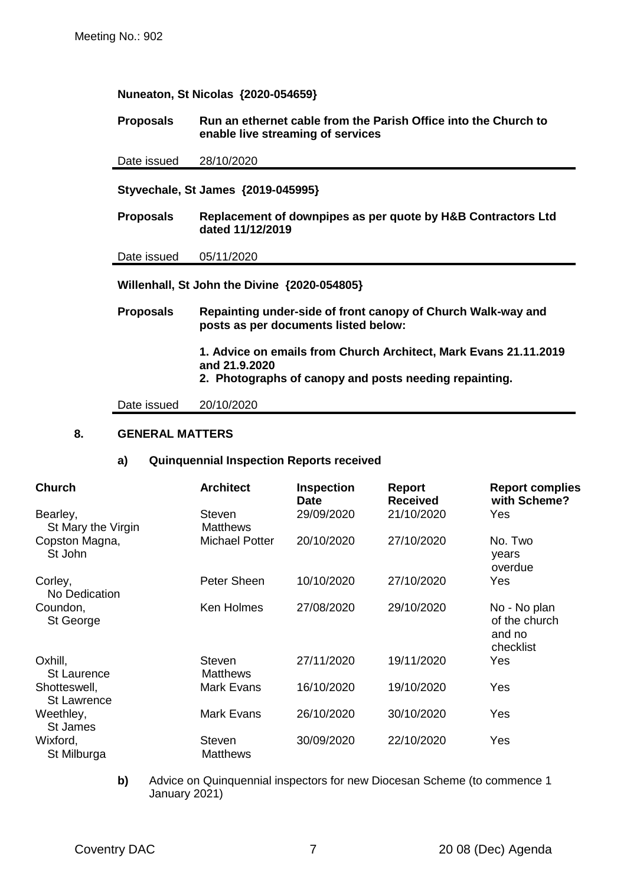### **Nuneaton, St Nicolas {2020-054659}**

### **Proposals Run an ethernet cable from the Parish Office into the Church to enable live streaming of services**

Date issued 28/10/2020

**Styvechale, St James {2019-045995}**

**Proposals Replacement of downpipes as per quote by H&B Contractors Ltd dated 11/12/2019**

Date issued 05/11/2020

**Willenhall, St John the Divine {2020-054805}**

**Proposals Repainting under-side of front canopy of Church Walk-way and posts as per documents listed below:**

> **1. Advice on emails from Church Architect, Mark Evans 21.11.2019 and 21.9.2020**

**2. Photographs of canopy and posts needing repainting.**

Date issued 20/10/2020

#### **8. GENERAL MATTERS**

#### **a) Quinquennial Inspection Reports received**

| <b>Church</b>                      | <b>Architect</b>                 | <b>Inspection</b><br><b>Date</b> | <b>Report</b><br><b>Received</b> | <b>Report complies</b><br>with Scheme?               |
|------------------------------------|----------------------------------|----------------------------------|----------------------------------|------------------------------------------------------|
| Bearley,<br>St Mary the Virgin     | Steven<br><b>Matthews</b>        | 29/09/2020                       | 21/10/2020                       | Yes                                                  |
| Copston Magna,<br>St John          | <b>Michael Potter</b>            | 20/10/2020                       | 27/10/2020                       | No. Two<br>years<br>overdue                          |
| Corley,<br>No Dedication           | Peter Sheen                      | 10/10/2020                       | 27/10/2020                       | Yes                                                  |
| Coundon,<br>St George              | Ken Holmes                       | 27/08/2020                       | 29/10/2020                       | No - No plan<br>of the church<br>and no<br>checklist |
| Oxhill,<br><b>St Laurence</b>      | Steven<br><b>Matthews</b>        | 27/11/2020                       | 19/11/2020                       | Yes                                                  |
| Shotteswell,<br><b>St Lawrence</b> | Mark Evans                       | 16/10/2020                       | 19/10/2020                       | Yes                                                  |
| Weethley,<br>St James              | <b>Mark Evans</b>                | 26/10/2020                       | 30/10/2020                       | Yes                                                  |
| Wixford,<br>St Milburga            | <b>Steven</b><br><b>Matthews</b> | 30/09/2020                       | 22/10/2020                       | Yes                                                  |

**b)** Advice on Quinquennial inspectors for new Diocesan Scheme (to commence 1 January 2021)